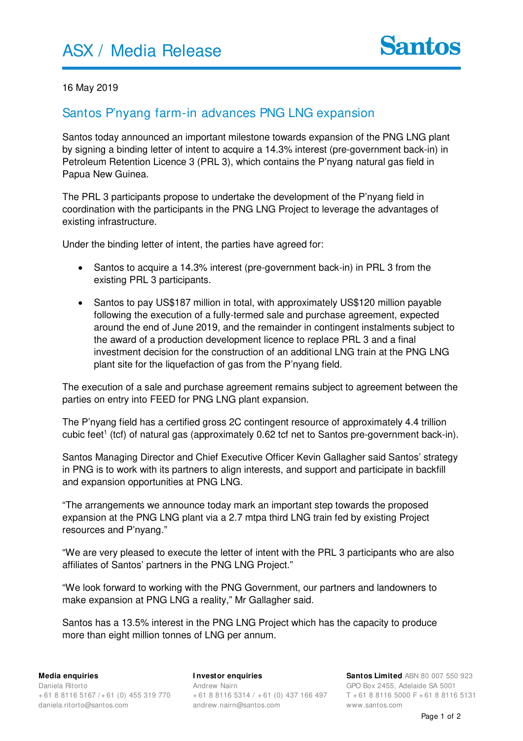

## 16 May 2019

## Santos P'nyang farm-in advances PNG LNG expansion

Santos today announced an important milestone towards expansion of the PNG LNG plant by signing a binding letter of intent to acquire a 14.3% interest (pre-government back-in) in Petroleum Retention Licence 3 (PRL 3), which contains the P'nyang natural gas field in Papua New Guinea.

The PRL 3 participants propose to undertake the development of the P'nyang field in coordination with the participants in the PNG LNG Project to leverage the advantages of existing infrastructure.

Under the binding letter of intent, the parties have agreed for:

- Santos to acquire a 14.3% interest (pre-government back-in) in PRL 3 from the existing PRL 3 participants.
- Santos to pay US\$187 million in total, with approximately US\$120 million payable following the execution of a fully-termed sale and purchase agreement, expected around the end of June 2019, and the remainder in contingent instalments subject to the award of a production development licence to replace PRL 3 and a final investment decision for the construction of an additional LNG train at the PNG LNG plant site for the liquefaction of gas from the P'nyang field.

The execution of a sale and purchase agreement remains subject to agreement between the parties on entry into FEED for PNG LNG plant expansion.

The P'nyang field has a certified gross 2C contingent resource of approximately 4.4 trillion cubic feet<sup>1</sup> (tcf) of natural gas (approximately 0.62 tcf net to Santos pre-government back-in).

Santos Managing Director and Chief Executive Officer Kevin Gallagher said Santos' strategy in PNG is to work with its partners to align interests, and support and participate in backfill and expansion opportunities at PNG LNG.

"The arrangements we announce today mark an important step towards the proposed expansion at the PNG LNG plant via a 2.7 mtpa third LNG train fed by existing Project resources and P'nyang."

"We are very pleased to execute the letter of intent with the PRL 3 participants who are also affiliates of Santos' partners in the PNG LNG Project."

"We look forward to working with the PNG Government, our partners and landowners to make expansion at PNG LNG a reality," Mr Gallagher said.

Santos has a 13.5% interest in the PNG LNG Project which has the capacity to produce more than eight million tonnes of LNG per annum.

**I nvestor enquiries** Andrew Nairn + 61 8 8116 5314 / + 61 (0) 437 166 497 andrew.nairn@santos.com